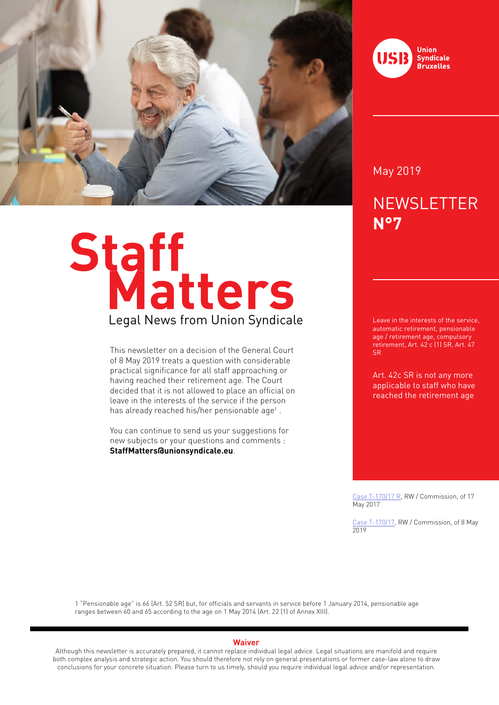

# Staff<br>Legal News from Union Syndicale

This newsletter on a decision of the General Court of 8 May 2019 treats a question with considerable practical significance for all staff approaching or having reached their retirement age. The Court decided that it is not allowed to place an official on leave in the interests of the service if the person has already reached his/her pensionable age<sup>1</sup>.

You can continue to send us your suggestions for new subjects or your questions and comments : **StaffMatters@unionsyndicale.eu**.



May 2019

# **NEWSLETTER N°7**

Leave in the interests of the service, automatic retirement, pensionable age / retirement age, compulsory retirement, Art. 42 c (1) SR, Art. 47 SR

Art. 42c SR is not any more applicable to staff who have reached the retirement age

Case T-170/17 R, RW / Commission, of 17 May 2017

Case T-170/17, RW / Commission, of 8 May 2019

1 "Pensionable age" is 66 (Art. 52 SR) but, for officials and servants in service before 1 January 2014, pensionable age ranges between 60 and 65 according to the age on 1 May 2014 (Art. 22 (1) of Annex XIII).

### **Waiver**

Although this newsletter is accurately prepared, it cannot replace individual legal advice. Legal situations are manifold and require both complex analysis and strategic action. You should therefore not rely on general presentations or former case-law alone to draw conclusions for your concrete situation. Please turn to us timely, should you require individual legal advice and/or representation.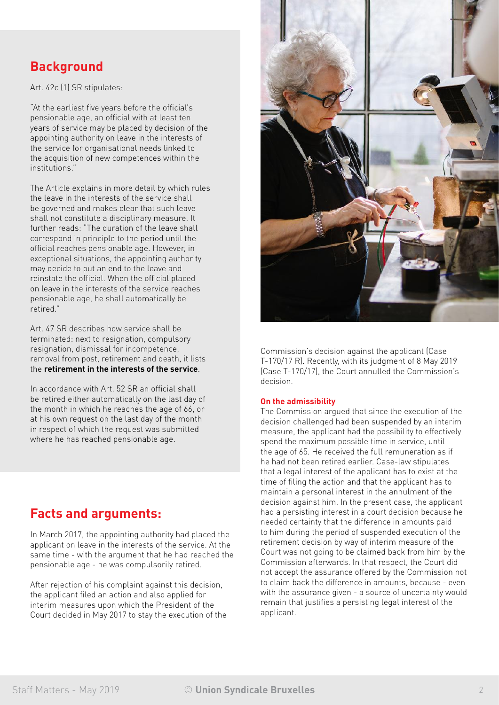# **Background**

Art. 42c (1) SR stipulates:

"At the earliest five years before the official's pensionable age, an official with at least ten years of service may be placed by decision of the appointing authority on leave in the interests of the service for organisational needs linked to the acquisition of new competences within the institutions."

The Article explains in more detail by which rules the leave in the interests of the service shall be governed and makes clear that such leave shall not constitute a disciplinary measure. It further reads: "The duration of the leave shall correspond in principle to the period until the official reaches pensionable age. However, in exceptional situations, the appointing authority may decide to put an end to the leave and reinstate the official. When the official placed on leave in the interests of the service reaches pensionable age, he shall automatically be retired."

Art. 47 SR describes how service shall be terminated: next to resignation, compulsory resignation, dismissal for incompetence, removal from post, retirement and death, it lists the **retirement in the interests of the service**.

In accordance with Art. 52 SR an official shall be retired either automatically on the last day of the month in which he reaches the age of 66, or at his own request on the last day of the month in respect of which the request was submitted where he has reached pensionable age.

# **Facts and arguments:**

In March 2017, the appointing authority had placed the applicant on leave in the interests of the service. At the same time - with the argument that he had reached the pensionable age - he was compulsorily retired.

After rejection of his complaint against this decision. the applicant filed an action and also applied for interim measures upon which the President of the Court decided in May 2017 to stay the execution of the



Commission's decision against the applicant (Case T-170/17 R). Recently, with its judgment of 8 May 2019 (Case T-170/17), the Court annulled the Commission's decision.

### **On the admissibility**

The Commission argued that since the execution of the decision challenged had been suspended by an interim measure, the applicant had the possibility to effectively spend the maximum possible time in service, until the age of 65. He received the full remuneration as if he had not been retired earlier. Case-law stipulates that a legal interest of the applicant has to exist at the time of filing the action and that the applicant has to maintain a personal interest in the annulment of the decision against him. In the present case, the applicant had a persisting interest in a court decision because he needed certainty that the difference in amounts paid to him during the period of suspended execution of the retirement decision by way of interim measure of the Court was not going to be claimed back from him by the Commission afterwards. In that respect, the Court did not accept the assurance offered by the Commission not to claim back the difference in amounts, because - even with the assurance given - a source of uncertainty would remain that justifies a persisting legal interest of the applicant.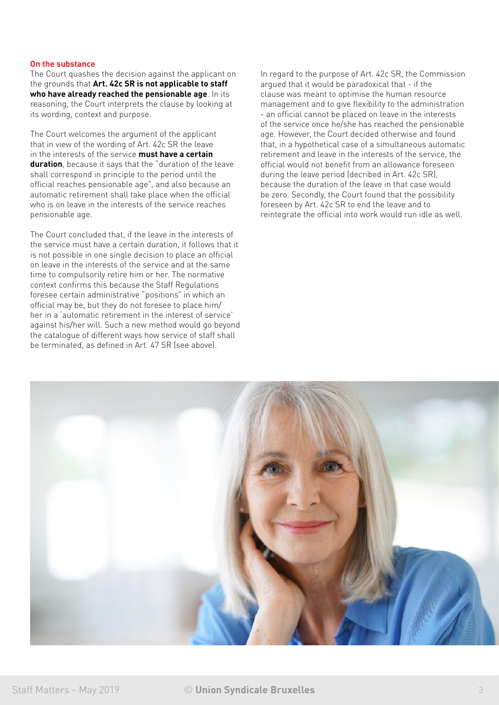### **On the substance**

The Court quashes the decision against the applicant on the grounds that **Art. 42c SR is not applicable to staff who have already reached the pensionable age**. In its reasoning, the Court interprets the clause by looking at its wording, context and purpose.

The Court welcomes the argument of the applicant that in view of the wording of Art. 42c SR the leave in the interests of the service **must have a certain duration**, because it says that the "duration of the leave shall correspond in principle to the period until the official reaches pensionable age", and also because an automatic retirement shall take place when the official who is on leave in the interests of the service reaches pensionable age.

The Court concluded that, if the leave in the interests of the service must have a certain duration, it follows that it is not possible in one single decision to place an official on leave in the interests of the service and at the same time to compulsorily retire him or her. The normative context confirms this because the Staff Regulations foresee certain administrative "positions" in which an official may be, but they do not foresee to place him/ her in a 'automatic retirement in the interest of service' against his/her will. Such a new method would go beyond the catalogue of different ways how service of staff shall be terminated, as defined in Art. 47 SR (see above).

In regard to the purpose of Art. 42c SR, the Commission argued that it would be paradoxical that - if the clause was meant to optimise the human resource management and to give flexibility to the administration - an official cannot be placed on leave in the interests of the service once he/she has reached the pensionable age. However, the Court decided otherwise and found that, in a hypothetical case of a simultaneous automatic retirement and leave in the interests of the service, the official would not benefit from an allowance foreseen during the leave period (decribed in Art. 42c SR), because the duration of the leave in that case would be zero. Secondly, the Court found that the possibility foreseen by Art. 42c SR to end the leave and to reintegrate the official into work would run idle as well.